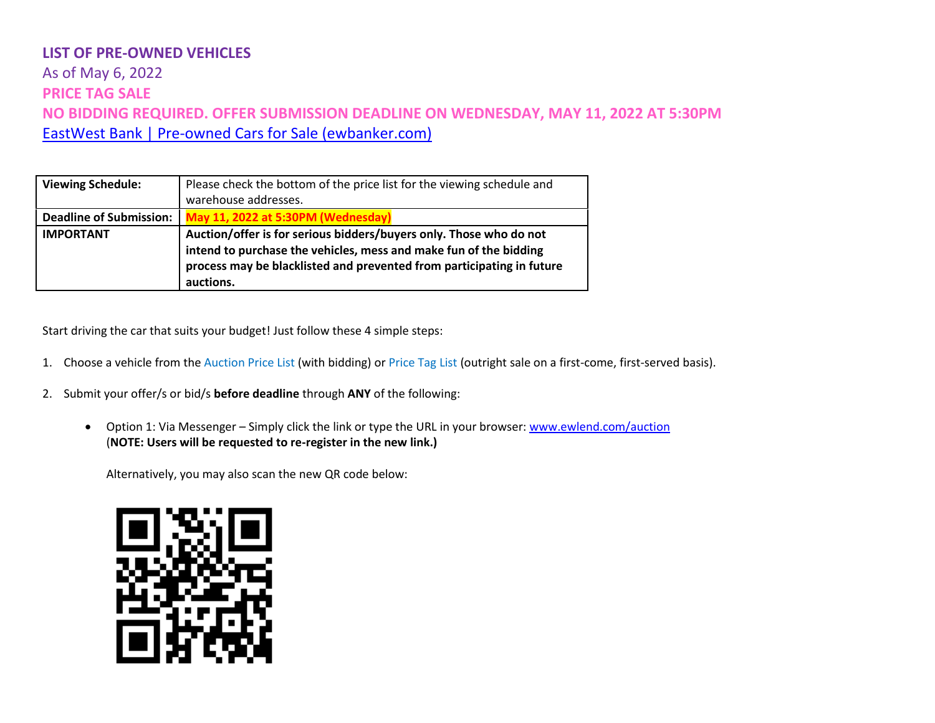# As of May 6, 2022 **PRICE TAG SALE NO BIDDING REQUIRED. OFFER SUBMISSION DEADLINE ON WEDNESDAY, MAY 11, 2022 AT 5:30PM** [EastWest Bank | Pre-owned Cars for Sale \(ewbanker.com\)](https://www.ewbanker.com/Loans/PreOwned/Cars)

| <b>Viewing Schedule:</b>       | Please check the bottom of the price list for the viewing schedule and<br>warehouse addresses.                                                                                                                                |
|--------------------------------|-------------------------------------------------------------------------------------------------------------------------------------------------------------------------------------------------------------------------------|
| <b>Deadline of Submission:</b> | May 11, 2022 at 5:30PM (Wednesday)                                                                                                                                                                                            |
| <b>IMPORTANT</b>               | Auction/offer is for serious bidders/buyers only. Those who do not<br>intend to purchase the vehicles, mess and make fun of the bidding<br>process may be blacklisted and prevented from participating in future<br>auctions. |

Start driving the car that suits your budget! Just follow these 4 simple steps:

- 1. Choose a vehicle from the Auction Price List (with bidding) or Price Tag List (outright sale on a first-come, first-served basis).
- 2. Submit your offer/s or bid/s **before deadline** through **ANY** of the following:
	- Option 1: Via Messenger Simply click the link or type the URL in your browser: [www.ewlend.com/auction](https://apc01.safelinks.protection.outlook.com/?url=http%3A%2F%2Fwww.ewlend.com%2Fauction&data=04%7C01%7CJLPolintan%40eastwestbanker.com%7Cebdfe046ec3a418d57e808d9e5e9db10%7C014be9759a3f416187d9e620e4a154fa%7C0%7C0%7C637793614839663604%7CUnknown%7CTWFpbGZsb3d8eyJWIjoiMC4wLjAwMDAiLCJQIjoiV2luMzIiLCJBTiI6Ik1haWwiLCJXVCI6Mn0%3D%7C3000&sdata=aTZVCDjlQhsU91aw6LSmhEr6TDaNaR7HWkP5E0CjXjA%3D&reserved=0) (**NOTE: Users will be requested to re-register in the new link.)**

Alternatively, you may also scan the new QR code below:

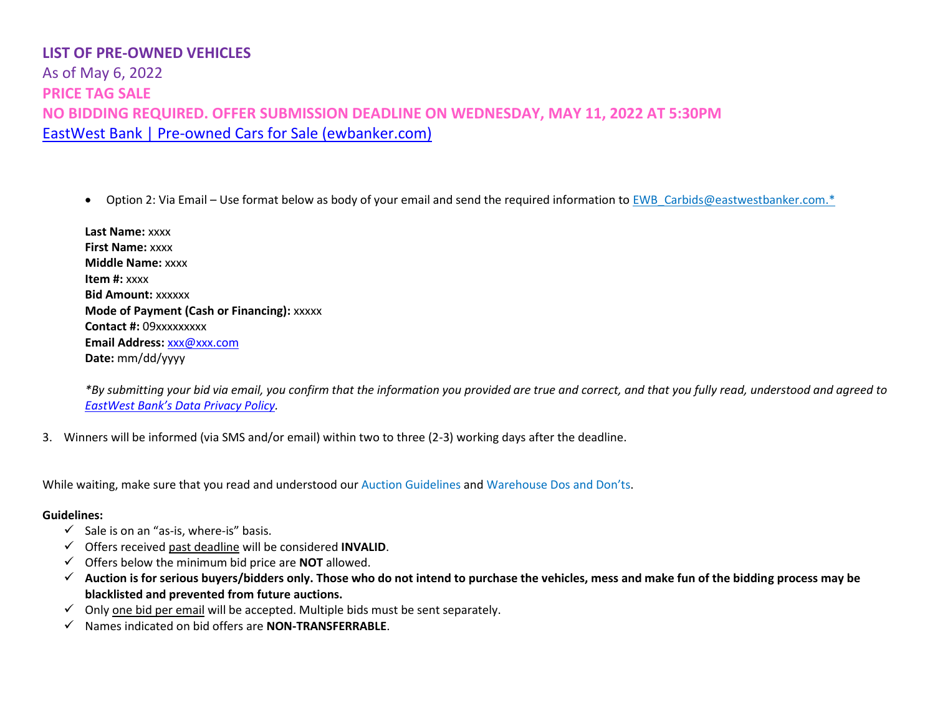As of May 6, 2022 **PRICE TAG SALE NO BIDDING REQUIRED. OFFER SUBMISSION DEADLINE ON WEDNESDAY, MAY 11, 2022 AT 5:30PM** [EastWest Bank | Pre-owned Cars for Sale \(ewbanker.com\)](https://www.ewbanker.com/Loans/PreOwned/Cars)

• Option 2: Via Email – Use format below as body of your email and send the required information to EWB Carbids@eastwestbanker.com.\*

| Last Name: xxxx                                   |
|---------------------------------------------------|
| <b>First Name: XXXX</b>                           |
| <b>Middle Name: XXXX</b>                          |
| <b>Item #:</b> $xxxxx$                            |
| <b>Bid Amount: XXXXXX</b>                         |
| <b>Mode of Payment (Cash or Financing): XXXXX</b> |
| <b>Contact #: 09xxxxxxxxx</b>                     |
| <b>Email Address: xxx@xxx.com</b>                 |
| Date: mm/dd/yyyy                                  |

*\*By submitting your bid via email, you confirm that the information you provided are true and correct, and that you fully read, understood and agreed to [EastWest Bank's Data Privacy Policy](https://www.eastwestbanker.com/info/ew_privacy.asp).*

3. Winners will be informed (via SMS and/or email) within two to three (2-3) working days after the deadline.

While waiting, make sure that you read and understood our Auction Guidelines and Warehouse Dos and Don'ts.

#### **Guidelines:**

- $\checkmark$  Sale is on an "as-is, where-is" basis.
- ✓ Offers received past deadline will be considered **INVALID**.
- ✓ Offers below the minimum bid price are **NOT** allowed.
- ✓ **Auction is for serious buyers/bidders only. Those who do not intend to purchase the vehicles, mess and make fun of the bidding process may be blacklisted and prevented from future auctions.**
- $\checkmark$  Only one bid per email will be accepted. Multiple bids must be sent separately.
- ✓ Names indicated on bid offers are **NON-TRANSFERRABLE**.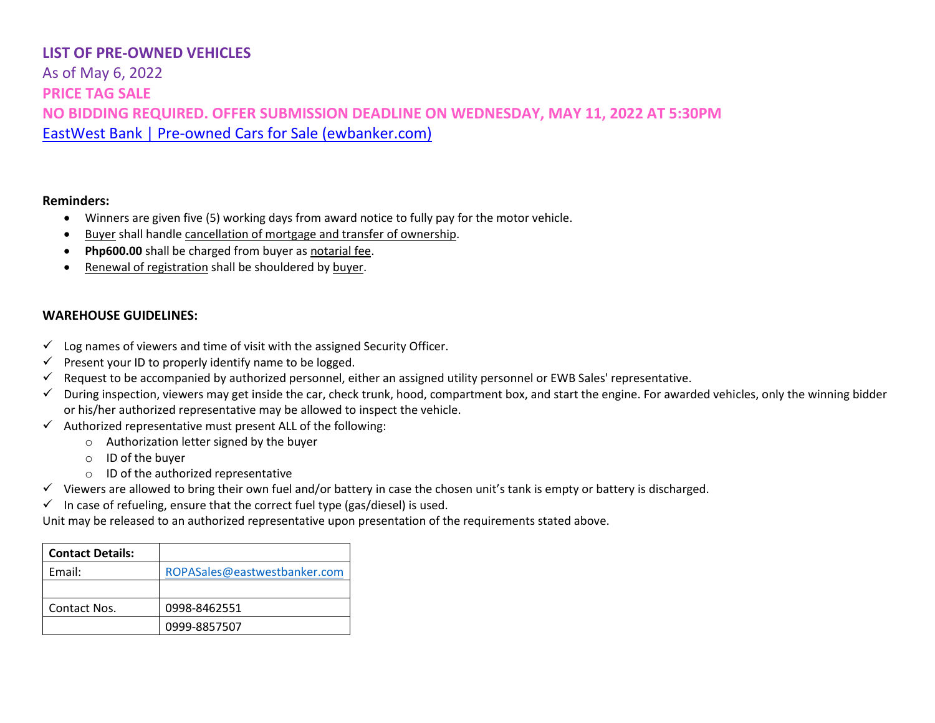As of May 6, 2022 **PRICE TAG SALE NO BIDDING REQUIRED. OFFER SUBMISSION DEADLINE ON WEDNESDAY, MAY 11, 2022 AT 5:30PM** [EastWest Bank | Pre-owned Cars for Sale \(ewbanker.com\)](https://www.ewbanker.com/Loans/PreOwned/Cars)

#### **Reminders:**

- Winners are given five (5) working days from award notice to fully pay for the motor vehicle.
- Buyer shall handle cancellation of mortgage and transfer of ownership.
- **Php600.00** shall be charged from buyer as notarial fee.
- Renewal of registration shall be shouldered by buyer.

#### **WAREHOUSE GUIDELINES:**

- $\checkmark$  Log names of viewers and time of visit with the assigned Security Officer.
- $\checkmark$  Present your ID to properly identify name to be logged.
- $\checkmark$  Request to be accompanied by authorized personnel, either an assigned utility personnel or EWB Sales' representative.
- ✓ During inspection, viewers may get inside the car, check trunk, hood, compartment box, and start the engine. For awarded vehicles, only the winning bidder or his/her authorized representative may be allowed to inspect the vehicle.
- $\checkmark$  Authorized representative must present ALL of the following:
	- o Authorization letter signed by the buyer
	- o ID of the buyer
	- o ID of the authorized representative
- ✓ Viewers are allowed to bring their own fuel and/or battery in case the chosen unit's tank is empty or battery is discharged.
- $\checkmark$  In case of refueling, ensure that the correct fuel type (gas/diesel) is used.

Unit may be released to an authorized representative upon presentation of the requirements stated above.

| <b>Contact Details:</b> |                              |
|-------------------------|------------------------------|
| Email:                  | ROPASales@eastwestbanker.com |
|                         |                              |
| Contact Nos.            | 0998-8462551                 |
|                         | 0999-8857507                 |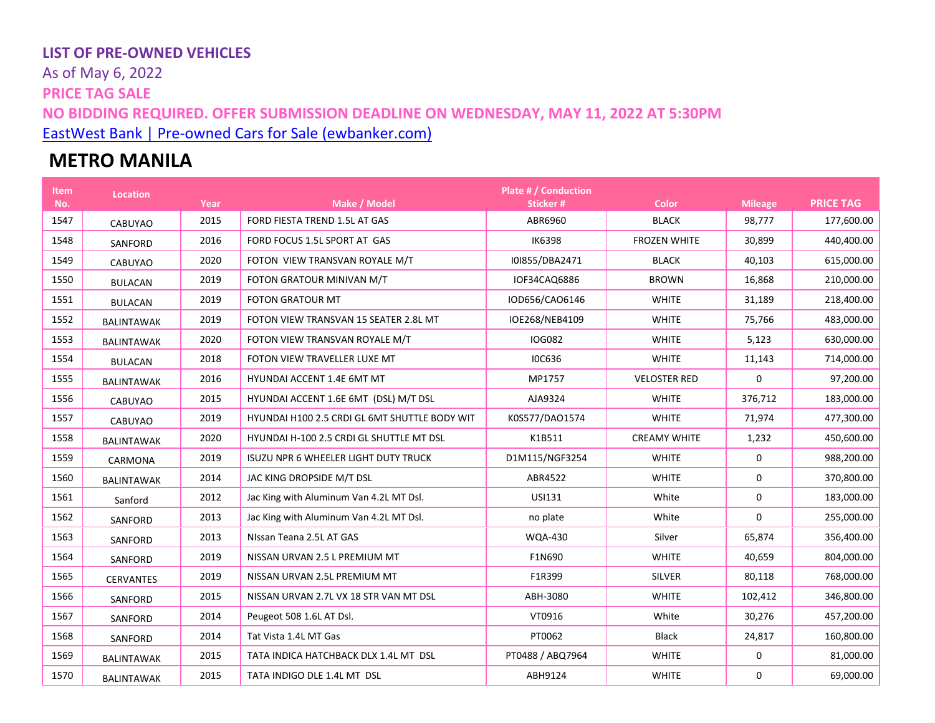As of May 6, 2022 **PRICE TAG SALE NO BIDDING REQUIRED. OFFER SUBMISSION DEADLINE ON WEDNESDAY, MAY 11, 2022 AT 5:30PM** [EastWest Bank | Pre-owned Cars for Sale \(ewbanker.com\)](https://www.ewbanker.com/Loans/PreOwned/Cars)

# **METRO MANILA**

| <b>Item</b><br>No. | <b>Location</b>   | Year | Make / Model                                  | <b>Plate # / Conduction</b><br>Sticker # | <b>Color</b>        | <b>Mileage</b> | <b>PRICE TAG</b> |
|--------------------|-------------------|------|-----------------------------------------------|------------------------------------------|---------------------|----------------|------------------|
| 1547               | <b>CABUYAO</b>    | 2015 | FORD FIESTA TREND 1.5L AT GAS                 | ABR6960                                  | <b>BLACK</b>        | 98,777         | 177,600.00       |
| 1548               | SANFORD           | 2016 | FORD FOCUS 1.5L SPORT AT GAS                  | <b>IK6398</b>                            | <b>FROZEN WHITE</b> | 30,899         | 440,400.00       |
| 1549               | CABUYAO           | 2020 | FOTON VIEW TRANSVAN ROYALE M/T                | I0I855/DBA2471                           | <b>BLACK</b>        | 40,103         | 615,000.00       |
| 1550               | <b>BULACAN</b>    | 2019 | FOTON GRATOUR MINIVAN M/T                     | IOF34CAQ6886                             | <b>BROWN</b>        | 16,868         | 210,000.00       |
| 1551               | <b>BULACAN</b>    | 2019 | <b>FOTON GRATOUR MT</b>                       | IOD656/CAO6146                           | <b>WHITE</b>        | 31,189         | 218,400.00       |
| 1552               | <b>BALINTAWAK</b> | 2019 | FOTON VIEW TRANSVAN 15 SEATER 2.8L MT         | IOE268/NEB4109                           | <b>WHITE</b>        | 75,766         | 483,000.00       |
| 1553               | <b>BALINTAWAK</b> | 2020 | FOTON VIEW TRANSVAN ROYALE M/T                | <b>IOG082</b>                            | <b>WHITE</b>        | 5,123          | 630,000.00       |
| 1554               | <b>BULACAN</b>    | 2018 | FOTON VIEW TRAVELLER LUXE MT                  | <b>IOC636</b>                            | <b>WHITE</b>        | 11,143         | 714,000.00       |
| 1555               | <b>BALINTAWAK</b> | 2016 | HYUNDAI ACCENT 1.4E 6MT MT                    | MP1757                                   | <b>VELOSTER RED</b> | 0              | 97,200.00        |
| 1556               | CABUYAO           | 2015 | HYUNDAI ACCENT 1.6E 6MT (DSL) M/T DSL         | AJA9324                                  | <b>WHITE</b>        | 376,712        | 183,000.00       |
| 1557               | CABUYAO           | 2019 | HYUNDAI H100 2.5 CRDI GL 6MT SHUTTLE BODY WIT | K0S577/DAO1574                           | <b>WHITE</b>        | 71,974         | 477,300.00       |
| 1558               | <b>BALINTAWAK</b> | 2020 | HYUNDAI H-100 2.5 CRDI GL SHUTTLE MT DSL      | K1B511                                   | <b>CREAMY WHITE</b> | 1,232          | 450,600.00       |
| 1559               | CARMONA           | 2019 | ISUZU NPR 6 WHEELER LIGHT DUTY TRUCK          | D1M115/NGF3254                           | <b>WHITE</b>        | 0              | 988,200.00       |
| 1560               | <b>BALINTAWAK</b> | 2014 | JAC KING DROPSIDE M/T DSL                     | ABR4522                                  | <b>WHITE</b>        | 0              | 370,800.00       |
| 1561               | Sanford           | 2012 | Jac King with Aluminum Van 4.2L MT Dsl.       | USI131                                   | White               | 0              | 183,000.00       |
| 1562               | SANFORD           | 2013 | Jac King with Aluminum Van 4.2L MT Dsl.       | no plate                                 | White               | 0              | 255,000.00       |
| 1563               | SANFORD           | 2013 | NIssan Teana 2.5L AT GAS                      | <b>WQA-430</b>                           | Silver              | 65,874         | 356,400.00       |
| 1564               | SANFORD           | 2019 | NISSAN URVAN 2.5 L PREMIUM MT                 | F1N690                                   | <b>WHITE</b>        | 40,659         | 804,000.00       |
| 1565               | <b>CERVANTES</b>  | 2019 | NISSAN URVAN 2.5L PREMIUM MT                  | F1R399                                   | <b>SILVER</b>       | 80,118         | 768,000.00       |
| 1566               | SANFORD           | 2015 | NISSAN URVAN 2.7L VX 18 STR VAN MT DSL        | ABH-3080                                 | <b>WHITE</b>        | 102,412        | 346,800.00       |
| 1567               | SANFORD           | 2014 | Peugeot 508 1.6L AT Dsl.                      | VT0916                                   | White               | 30,276         | 457,200.00       |
| 1568               | SANFORD           | 2014 | Tat Vista 1.4L MT Gas                         | PT0062                                   | <b>Black</b>        | 24,817         | 160,800.00       |
| 1569               | <b>BALINTAWAK</b> | 2015 | TATA INDICA HATCHBACK DLX 1.4L MT DSL         | PT0488 / ABQ7964                         | <b>WHITE</b>        | 0              | 81,000.00        |
| 1570               | <b>BALINTAWAK</b> | 2015 | TATA INDIGO DLE 1.4L MT DSL                   | ABH9124                                  | <b>WHITE</b>        | 0              | 69,000.00        |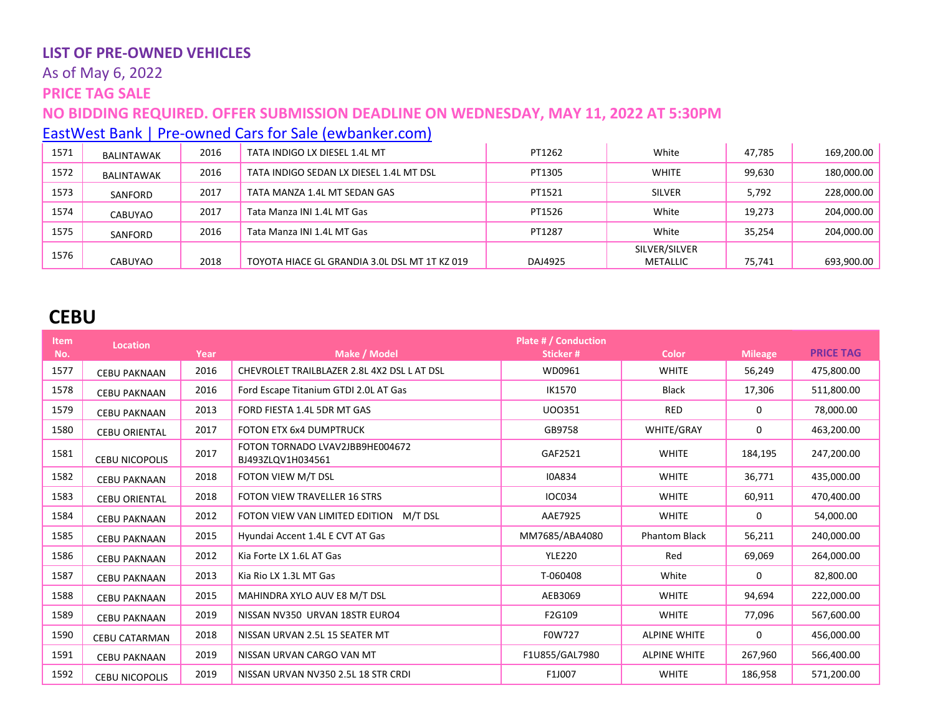# As of May 6, 2022

# **PRICE TAG SALE**

# **NO BIDDING REQUIRED. OFFER SUBMISSION DEADLINE ON WEDNESDAY, MAY 11, 2022 AT 5:30PM**

[EastWest Bank | Pre-owned Cars for Sale \(ewbanker.com\)](https://www.ewbanker.com/Loans/PreOwned/Cars)

| 1571 | <b>BALINTAWAK</b> | 2016 | TATA INDIGO LX DIESEL 1.4L MT                 | PT1262  | White         | 47.785 | 169,200.00 |
|------|-------------------|------|-----------------------------------------------|---------|---------------|--------|------------|
| 1572 | <b>BALINTAWAK</b> | 2016 | TATA INDIGO SEDAN LX DIESEL 1.4L MT DSL       | PT1305  | WHITE         | 99,630 | 180,000.00 |
| 1573 | SANFORD           | 2017 | TATA MANZA 1.4L MT SEDAN GAS                  | PT1521  | <b>SILVER</b> | 5,792  | 228,000.00 |
| 1574 | CABUYAO           | 2017 | Tata Manza INI 1.4L MT Gas                    | PT1526  | White         | 19,273 | 204,000.00 |
| 1575 | SANFORD           | 2016 | Tata Manza INI 1.4L MT Gas                    | PT1287  | White         | 35.254 | 204,000.00 |
| 1576 |                   |      |                                               |         | SILVER/SILVER |        |            |
|      | CABUYAO           | 2018 | TOYOTA HIACE GL GRANDIA 3.0L DSL MT 1T KZ 019 | DAJ4925 | METALLIC      | 75,741 | 693,900.00 |

# **CEBU**

| <b>Item</b> | <b>Location</b>       |      |                                                      | <b>Plate # / Conduction</b> |                      |                |                  |
|-------------|-----------------------|------|------------------------------------------------------|-----------------------------|----------------------|----------------|------------------|
| No.         |                       | Year | Make / Model                                         | Sticker#                    | <b>Color</b>         | <b>Mileage</b> | <b>PRICE TAG</b> |
| 1577        | <b>CEBU PAKNAAN</b>   | 2016 | CHEVROLET TRAILBLAZER 2.8L 4X2 DSL L AT DSL          | WD0961                      | <b>WHITE</b>         | 56,249         | 475,800.00       |
| 1578        | <b>CEBU PAKNAAN</b>   | 2016 | Ford Escape Titanium GTDI 2.0L AT Gas                | IK1570                      | <b>Black</b>         | 17,306         | 511,800.00       |
| 1579        | <b>CEBU PAKNAAN</b>   | 2013 | FORD FIESTA 1.4L 5DR MT GAS                          | U00351                      | RED                  | 0              | 78,000.00        |
| 1580        | <b>CEBU ORIENTAL</b>  | 2017 | <b>FOTON ETX 6x4 DUMPTRUCK</b>                       | GB9758                      | <b>WHITE/GRAY</b>    | 0              | 463,200.00       |
| 1581        | <b>CEBU NICOPOLIS</b> | 2017 | FOTON TORNADO LVAV2JBB9HE004672<br>BJ493ZLQV1H034561 | GAF2521                     | <b>WHITE</b>         | 184,195        | 247,200.00       |
| 1582        | <b>CEBU PAKNAAN</b>   | 2018 | FOTON VIEW M/T DSL                                   | <b>I0A834</b>               | <b>WHITE</b>         | 36,771         | 435,000.00       |
| 1583        | <b>CEBU ORIENTAL</b>  | 2018 | <b>FOTON VIEW TRAVELLER 16 STRS</b>                  | <b>IOC034</b>               | <b>WHITE</b>         | 60,911         | 470,400.00       |
| 1584        | <b>CEBU PAKNAAN</b>   | 2012 | FOTON VIEW VAN LIMITED EDITION M/T DSL               | AAE7925                     | <b>WHITE</b>         | 0              | 54,000.00        |
| 1585        | <b>CEBU PAKNAAN</b>   | 2015 | Hyundai Accent 1.4L E CVT AT Gas                     | MM7685/ABA4080              | <b>Phantom Black</b> | 56,211         | 240,000.00       |
| 1586        | <b>CEBU PAKNAAN</b>   | 2012 | Kia Forte LX 1.6L AT Gas                             | <b>YLE220</b>               | Red                  | 69,069         | 264,000.00       |
| 1587        | <b>CEBU PAKNAAN</b>   | 2013 | Kia Rio LX 1.3L MT Gas                               | T-060408                    | White                | 0              | 82,800.00        |
| 1588        | <b>CEBU PAKNAAN</b>   | 2015 | MAHINDRA XYLO AUV E8 M/T DSL                         | AEB3069                     | <b>WHITE</b>         | 94,694         | 222,000.00       |
| 1589        | <b>CEBU PAKNAAN</b>   | 2019 | NISSAN NV350 URVAN 18STR EURO4                       | F2G109                      | <b>WHITE</b>         | 77,096         | 567,600.00       |
| 1590        | <b>CEBU CATARMAN</b>  | 2018 | NISSAN URVAN 2.5L 15 SEATER MT                       | F0W727                      | <b>ALPINE WHITE</b>  | $\Omega$       | 456,000.00       |
| 1591        | <b>CEBU PAKNAAN</b>   | 2019 | NISSAN URVAN CARGO VAN MT                            | F1U855/GAL7980              | <b>ALPINE WHITE</b>  | 267,960        | 566,400.00       |
| 1592        | <b>CEBU NICOPOLIS</b> | 2019 | NISSAN URVAN NV350 2.5L 18 STR CRDI                  | F1J007                      | <b>WHITE</b>         | 186,958        | 571,200.00       |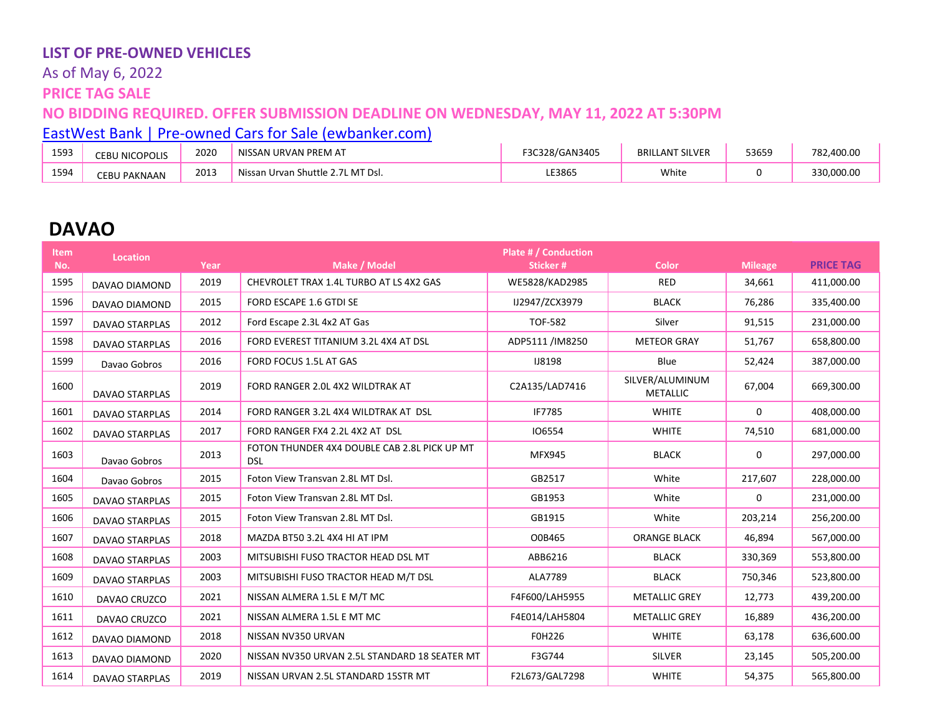# As of May 6, 2022

**PRICE TAG SALE**

#### **NO BIDDING REQUIRED. OFFER SUBMISSION DEADLINE ON WEDNESDAY, MAY 11, 2022 AT 5:30PM**

[EastWest Bank | Pre-owned Cars for Sale \(ewbanker.com\)](https://www.ewbanker.com/Loans/PreOwned/Cars)

| 1593 | J NICOPOLIS<br>CEBU | 2020 | NISSAN URVAN PREM AT                                  | 328/GAN3405<br>-00<br>55C. | LANT SILVER<br><b>BRI</b> | 53659 | 782.400.00        |
|------|---------------------|------|-------------------------------------------------------|----------------------------|---------------------------|-------|-------------------|
| 1594 | EBU PAKNAAN:        | 2013 | Nissan<br>. MT Dsl.<br>van Shuttle<br>Urvan<br>$\sim$ | LE3865                     | White                     |       | 330.000.00<br>າາດ |

# **DAVAO**

| ltem.<br>No. | Location              | Year | Make / Model                                               | Plate # / Conduction<br>Sticker# | <b>Color</b>                       | <b>Mileage</b> | <b>PRICE TAG</b> |
|--------------|-----------------------|------|------------------------------------------------------------|----------------------------------|------------------------------------|----------------|------------------|
| 1595         | DAVAO DIAMOND         | 2019 | CHEVROLET TRAX 1.4L TURBO AT LS 4X2 GAS                    | WE5828/KAD2985                   | <b>RED</b>                         | 34,661         | 411,000.00       |
| 1596         | DAVAO DIAMOND         | 2015 | FORD ESCAPE 1.6 GTDI SE                                    | IJ2947/ZCX3979                   | <b>BLACK</b>                       | 76,286         | 335,400.00       |
| 1597         | <b>DAVAO STARPLAS</b> | 2012 | Ford Escape 2.3L 4x2 AT Gas                                | <b>TOF-582</b>                   | Silver                             | 91,515         | 231,000.00       |
| 1598         | <b>DAVAO STARPLAS</b> | 2016 | FORD EVEREST TITANIUM 3.2L 4X4 AT DSL                      | ADP5111 /IM8250                  | <b>METEOR GRAY</b>                 | 51,767         | 658,800.00       |
| 1599         | Davao Gobros          | 2016 | FORD FOCUS 1.5L AT GAS                                     | <b>IJ8198</b>                    | Blue                               | 52,424         | 387,000.00       |
| 1600         | <b>DAVAO STARPLAS</b> | 2019 | FORD RANGER 2.0L 4X2 WILDTRAK AT                           | C2A135/LAD7416                   | SILVER/ALUMINUM<br><b>METALLIC</b> | 67,004         | 669,300.00       |
| 1601         | <b>DAVAO STARPLAS</b> | 2014 | FORD RANGER 3.2L 4X4 WILDTRAK AT DSL                       | IF7785                           | <b>WHITE</b>                       | 0              | 408,000.00       |
| 1602         | <b>DAVAO STARPLAS</b> | 2017 | FORD RANGER FX4 2.2L 4X2 AT DSL                            | 106554                           | <b>WHITE</b>                       | 74,510         | 681,000.00       |
| 1603         | Davao Gobros          | 2013 | FOTON THUNDER 4X4 DOUBLE CAB 2.8L PICK UP MT<br><b>DSL</b> | MFX945                           | <b>BLACK</b>                       | 0              | 297,000.00       |
| 1604         | Davao Gobros          | 2015 | Foton View Transvan 2.8L MT Dsl.                           | GB2517                           | White                              | 217,607        | 228,000.00       |
| 1605         | <b>DAVAO STARPLAS</b> | 2015 | Foton View Transvan 2.8L MT Dsl.                           | GB1953                           | White                              | 0              | 231,000.00       |
| 1606         | <b>DAVAO STARPLAS</b> | 2015 | Foton View Transvan 2.8L MT Dsl.                           | GB1915                           | White                              | 203,214        | 256,200.00       |
| 1607         | <b>DAVAO STARPLAS</b> | 2018 | MAZDA BT50 3.2L 4X4 HI AT IPM                              | O0B465                           | <b>ORANGE BLACK</b>                | 46,894         | 567,000.00       |
| 1608         | <b>DAVAO STARPLAS</b> | 2003 | MITSUBISHI FUSO TRACTOR HEAD DSL MT                        | ABB6216                          | <b>BLACK</b>                       | 330,369        | 553,800.00       |
| 1609         | <b>DAVAO STARPLAS</b> | 2003 | MITSUBISHI FUSO TRACTOR HEAD M/T DSL                       | ALA7789                          | <b>BLACK</b>                       | 750,346        | 523,800.00       |
| 1610         | DAVAO CRUZCO          | 2021 | NISSAN ALMERA 1.5L E M/T MC                                | F4F600/LAH5955                   | <b>METALLIC GREY</b>               | 12,773         | 439,200.00       |
| 1611         | DAVAO CRUZCO          | 2021 | NISSAN ALMERA 1.5L E MT MC                                 | F4E014/LAH5804                   | <b>METALLIC GREY</b>               | 16,889         | 436,200.00       |
| 1612         | DAVAO DIAMOND         | 2018 | NISSAN NV350 URVAN                                         | F0H226                           | <b>WHITE</b>                       | 63,178         | 636,600.00       |
| 1613         | DAVAO DIAMOND         | 2020 | NISSAN NV350 URVAN 2.5L STANDARD 18 SEATER MT              | F3G744                           | SILVER                             | 23,145         | 505,200.00       |
| 1614         | <b>DAVAO STARPLAS</b> | 2019 | NISSAN URVAN 2.5L STANDARD 15STR MT                        | F2L673/GAL7298                   | <b>WHITE</b>                       | 54,375         | 565,800.00       |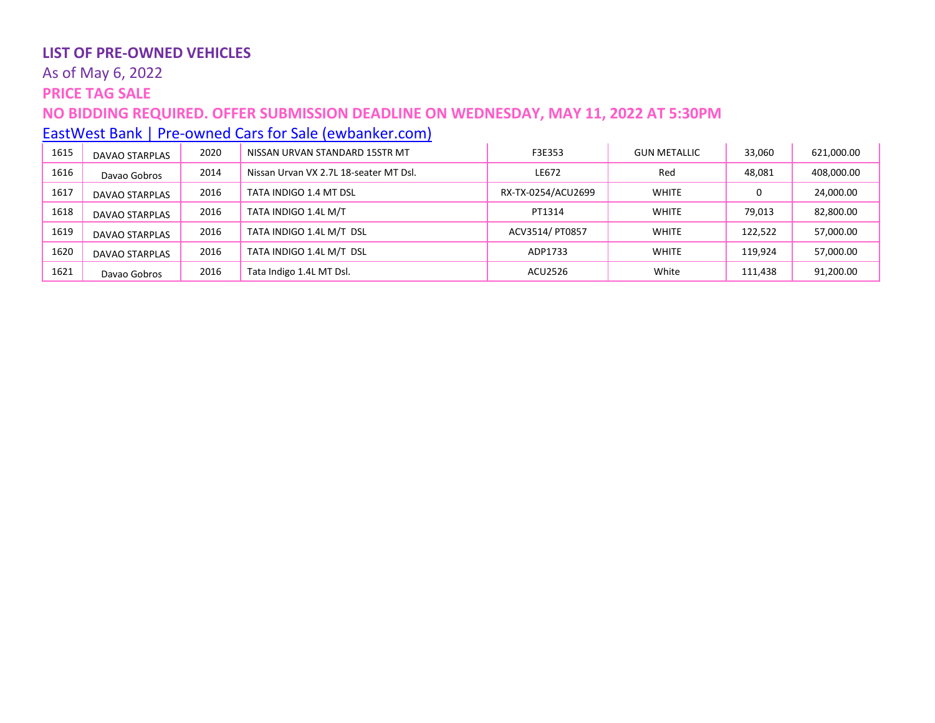### As of May 6, 2022

# **PRICE TAG SALE**

# **NO BIDDING REQUIRED. OFFER SUBMISSION DEADLINE ON WEDNESDAY, MAY 11, 2022 AT 5:30PM**

# [EastWest Bank | Pre-owned Cars for Sale \(ewbanker.com\)](https://www.ewbanker.com/Loans/PreOwned/Cars)

| 1615 | <b>DAVAO STARPLAS</b> | 2020 | NISSAN URVAN STANDARD 15STR MT         | F3E353             | <b>GUN METALLIC</b> | 33,060  | 621,000.00 |
|------|-----------------------|------|----------------------------------------|--------------------|---------------------|---------|------------|
| 1616 | Davao Gobros          | 2014 | Nissan Urvan VX 2.7L 18-seater MT Dsl. | LE672              | Red                 | 48,081  | 408,000.00 |
| 1617 | <b>DAVAO STARPLAS</b> | 2016 | TATA INDIGO 1.4 MT DSL                 | RX-TX-0254/ACU2699 | <b>WHITE</b>        | 0       | 24,000.00  |
| 1618 | <b>DAVAO STARPLAS</b> | 2016 | TATA INDIGO 1.4L M/T                   | PT1314             | <b>WHITE</b>        | 79,013  | 82,800.00  |
| 1619 | <b>DAVAO STARPLAS</b> | 2016 | TATA INDIGO 1.4L M/T DSL               | ACV3514/ PT0857    | <b>WHITE</b>        | 122,522 | 57,000.00  |
| 1620 | <b>DAVAO STARPLAS</b> | 2016 | TATA INDIGO 1.4L M/T DSL               | ADP1733            | <b>WHITE</b>        | 119.924 | 57,000.00  |
| 1621 | Davao Gobros          | 2016 | Tata Indigo 1.4L MT Dsl.               | ACU2526            | White               | 111,438 | 91,200.00  |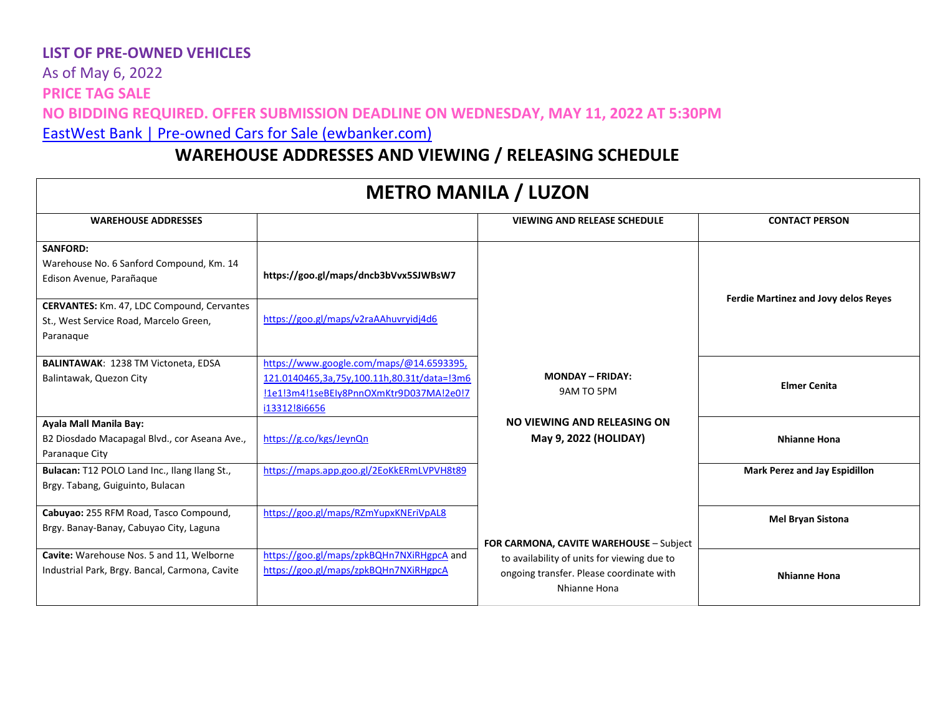As of May 6, 2022 **PRICE TAG SALE NO BIDDING REQUIRED. OFFER SUBMISSION DEADLINE ON WEDNESDAY, MAY 11, 2022 AT 5:30PM** [EastWest Bank | Pre-owned Cars for Sale \(ewbanker.com\)](https://www.ewbanker.com/Loans/PreOwned/Cars)

# **WAREHOUSE ADDRESSES AND VIEWING / RELEASING SCHEDULE**

| <b>METRO MANILA / LUZON</b>                                                                              |                                                                                                                                                     |                                                                                                         |                                             |  |  |  |
|----------------------------------------------------------------------------------------------------------|-----------------------------------------------------------------------------------------------------------------------------------------------------|---------------------------------------------------------------------------------------------------------|---------------------------------------------|--|--|--|
| <b>WAREHOUSE ADDRESSES</b>                                                                               |                                                                                                                                                     | <b>VIEWING AND RELEASE SCHEDULE</b>                                                                     | <b>CONTACT PERSON</b>                       |  |  |  |
| <b>SANFORD:</b><br>Warehouse No. 6 Sanford Compound, Km. 14<br>Edison Avenue, Parañaque                  | https://goo.gl/maps/dncb3bVvx5SJWBsW7                                                                                                               |                                                                                                         |                                             |  |  |  |
| <b>CERVANTES:</b> Km. 47, LDC Compound, Cervantes<br>St., West Service Road, Marcelo Green,<br>Paranaque | https://goo.gl/maps/v2raAAhuvryidj4d6                                                                                                               |                                                                                                         | <b>Ferdie Martinez and Jovy delos Reyes</b> |  |  |  |
| <b>BALINTAWAK: 1238 TM Victoneta, EDSA</b><br>Balintawak, Quezon City                                    | https://www.google.com/maps/@14.6593395,<br>121.0140465,3a,75y,100.11h,80.31t/data=!3m6<br>!1e1!3m4!1seBEIy8PnnOXmKtr9D037MA!2e0!7<br>i13312!8i6656 | <b>MONDAY - FRIDAY:</b><br>9AM TO 5PM                                                                   | <b>Elmer Cenita</b>                         |  |  |  |
| Ayala Mall Manila Bay:<br>B2 Diosdado Macapagal Blvd., cor Aseana Ave.,<br>Paranaque City                | https://g.co/kgs/JeynQn                                                                                                                             | NO VIEWING AND RELEASING ON<br>May 9, 2022 (HOLIDAY)                                                    | <b>Nhianne Hona</b>                         |  |  |  |
| Bulacan: T12 POLO Land Inc., Ilang Ilang St.,<br>Brgy. Tabang, Guiguinto, Bulacan                        | https://maps.app.goo.gl/2EoKkERmLVPVH8t89                                                                                                           |                                                                                                         | Mark Perez and Jay Espidillon               |  |  |  |
| Cabuyao: 255 RFM Road, Tasco Compound,<br>Brgy. Banay-Banay, Cabuyao City, Laguna                        | https://goo.gl/maps/RZmYupxKNEriVpAL8                                                                                                               | FOR CARMONA, CAVITE WAREHOUSE - Subject                                                                 | <b>Mel Bryan Sistona</b>                    |  |  |  |
| Cavite: Warehouse Nos. 5 and 11, Welborne<br>Industrial Park, Brgy. Bancal, Carmona, Cavite              | https://goo.gl/maps/zpkBQHn7NXiRHgpcA and<br>https://goo.gl/maps/zpkBQHn7NXiRHgpcA                                                                  | to availability of units for viewing due to<br>ongoing transfer. Please coordinate with<br>Nhianne Hona | <b>Nhianne Hona</b>                         |  |  |  |